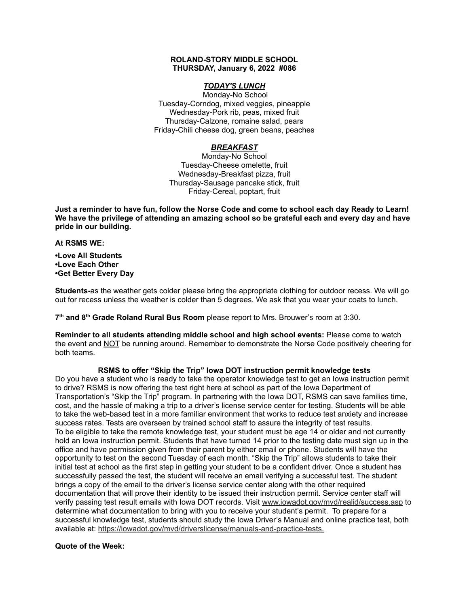#### **ROLAND-STORY MIDDLE SCHOOL THURSDAY, January 6, 2022 #086**

## *TODAY'S LUNCH*

Monday-No School Tuesday-Corndog, mixed veggies, pineapple Wednesday-Pork rib, peas, mixed fruit Thursday-Calzone, romaine salad, pears Friday-Chili cheese dog, green beans, peaches

# *BREAKFAST*

Monday-No School Tuesday-Cheese omelette, fruit Wednesday-Breakfast pizza, fruit Thursday-Sausage pancake stick, fruit Friday-Cereal, poptart, fruit

Just a reminder to have fun, follow the Norse Code and come to school each day Ready to Learn! **We have the privilege of attending an amazing school so be grateful each and every day and have pride in our building.**

#### **At RSMS WE:**

**•Love All Students •Love Each Other •Get Better Every Day**

**Students-**as the weather gets colder please bring the appropriate clothing for outdoor recess. We will go out for recess unless the weather is colder than 5 degrees. We ask that you wear your coats to lunch.

**7 th and 8 th Grade Roland Rural Bus Room** please report to Mrs. Brouwer's room at 3:30.

**Reminder to all students attending middle school and high school events:** Please come to watch the event and NOT be running around. Remember to demonstrate the Norse Code positively cheering for both teams.

# **RSMS to offer "Skip the Trip" Iowa DOT instruction permit knowledge tests**

Do you have a student who is ready to take the operator knowledge test to get an Iowa instruction permit to drive? RSMS is now offering the test right here at school as part of the Iowa Department of Transportation's "Skip the Trip" program. In partnering with the Iowa DOT, RSMS can save families time, cost, and the hassle of making a trip to a driver's license service center for testing. Students will be able to take the web-based test in a more familiar environment that works to reduce test anxiety and increase success rates. Tests are overseen by trained school staff to assure the integrity of test results. To be eligible to take the remote knowledge test, your student must be age 14 or older and not currently hold an Iowa instruction permit. Students that have turned 14 prior to the testing date must sign up in the office and have permission given from their parent by either email or phone. Students will have the opportunity to test on the second Tuesday of each month. "Skip the Trip" allows students to take their initial test at school as the first step in getting your student to be a confident driver. Once a student has successfully passed the test, the student will receive an email verifying a successful test. The student brings a copy of the email to the driver's license service center along with the other required documentation that will prove their identity to be issued their instruction permit. Service center staff will verify passing test result emails with Iowa DOT records. Visit [www.iowadot.gov/mvd/realid/success.asp](http://www.iowadot.gov/mvd/realid/success.asp) to determine what documentation to bring with you to receive your student's permit. To prepare for a successful knowledge test, students should study the Iowa Driver's Manual and online practice test, both available at: <https://iowadot.gov/mvd/driverslicense/manuals-and-practice-tests>.

### **Quote of the Week:**